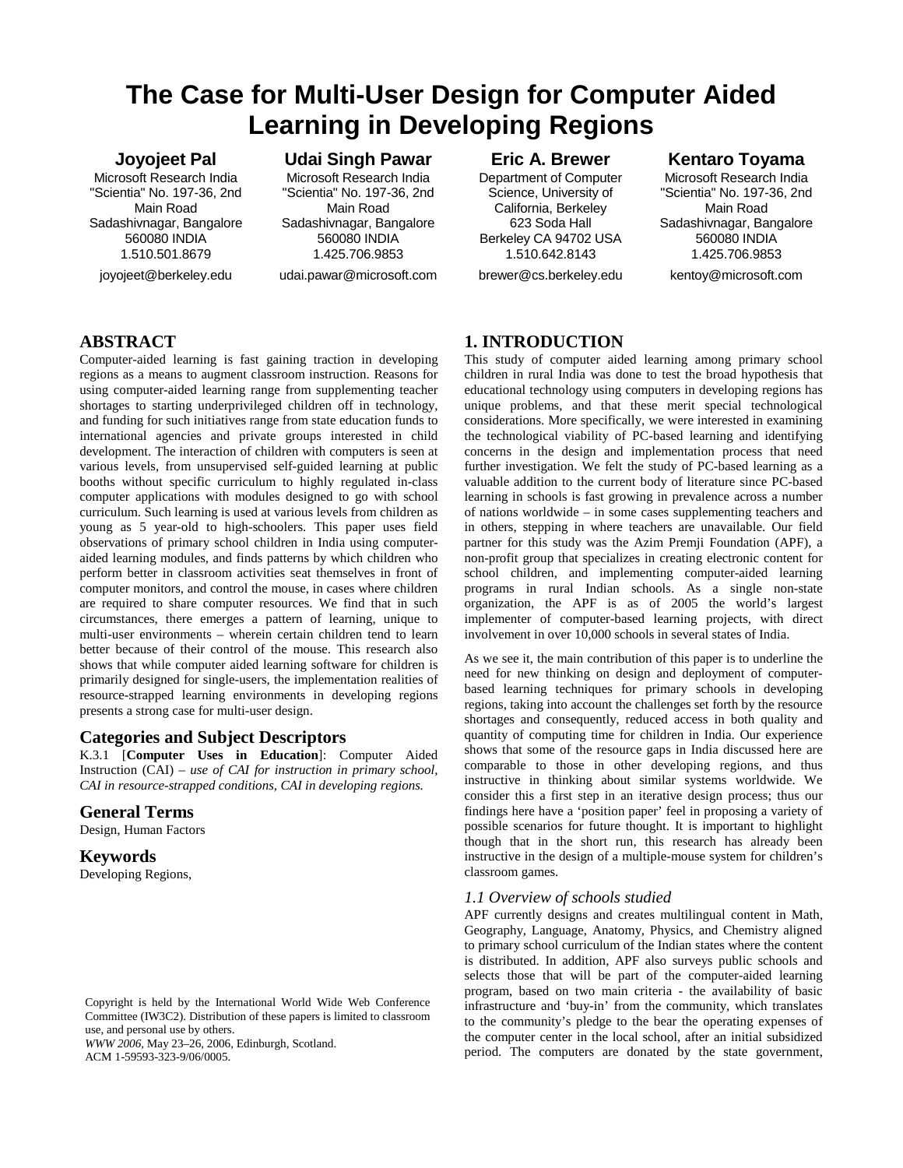# **The Case for Multi-User Design for Computer Aided Learning in Developing Regions**

### **Joyojeet Pal**

Microsoft Research India "Scientia" No. 197-36, 2nd Main Road Sadashivnagar, Bangalore 560080 INDIA 1.510.501.8679

joyojeet@berkeley.edu

# **Udai Singh Pawar**

Microsoft Research India "Scientia" No. 197-36, 2nd Main Road Sadashivnagar, Bangalore 560080 INDIA 1.425.706.9853

udai.pawar@microsoft.com

# **Eric A. Brewer**

Department of Computer Science, University of California, Berkeley 623 Soda Hall Berkeley CA 94702 USA 1.510.642.8143

brewer@cs.berkeley.edu

#### **Kentaro Toyama**

Microsoft Research India "Scientia" No. 197-36, 2nd Main Road Sadashivnagar, Bangalore 560080 INDIA 1.425.706.9853

kentoy@microsoft.com

# **ABSTRACT**

Computer-aided learning is fast gaining traction in developing regions as a means to augment classroom instruction. Reasons for using computer-aided learning range from supplementing teacher shortages to starting underprivileged children off in technology, and funding for such initiatives range from state education funds to international agencies and private groups interested in child development. The interaction of children with computers is seen at various levels, from unsupervised self-guided learning at public booths without specific curriculum to highly regulated in-class computer applications with modules designed to go with school curriculum. Such learning is used at various levels from children as young as 5 year-old to high-schoolers. This paper uses field observations of primary school children in India using computeraided learning modules, and finds patterns by which children who perform better in classroom activities seat themselves in front of computer monitors, and control the mouse, in cases where children are required to share computer resources. We find that in such circumstances, there emerges a pattern of learning, unique to multi-user environments – wherein certain children tend to learn better because of their control of the mouse. This research also shows that while computer aided learning software for children is primarily designed for single-users, the implementation realities of resource-strapped learning environments in developing regions presents a strong case for multi-user design.

# **Categories and Subject Descriptors**

K.3.1 [**Computer Uses in Education**]: Computer Aided Instruction (CAI) – *use of CAI for instruction in primary school, CAI in resource-strapped conditions, CAI in developing regions.* 

# **General Terms**

Design, Human Factors

# **Keywords**

Developing Regions,

ACM 1-59593-323-9/06/0005.

# **1. INTRODUCTION**

This study of computer aided learning among primary school children in rural India was done to test the broad hypothesis that educational technology using computers in developing regions has unique problems, and that these merit special technological considerations. More specifically, we were interested in examining the technological viability of PC-based learning and identifying concerns in the design and implementation process that need further investigation. We felt the study of PC-based learning as a valuable addition to the current body of literature since PC-based learning in schools is fast growing in prevalence across a number of nations worldwide – in some cases supplementing teachers and in others, stepping in where teachers are unavailable. Our field partner for this study was the Azim Premji Foundation (APF), a non-profit group that specializes in creating electronic content for school children, and implementing computer-aided learning programs in rural Indian schools. As a single non-state organization, the APF is as of 2005 the world's largest implementer of computer-based learning projects, with direct involvement in over 10,000 schools in several states of India.

As we see it, the main contribution of this paper is to underline the need for new thinking on design and deployment of computerbased learning techniques for primary schools in developing regions, taking into account the challenges set forth by the resource shortages and consequently, reduced access in both quality and quantity of computing time for children in India. Our experience shows that some of the resource gaps in India discussed here are comparable to those in other developing regions, and thus instructive in thinking about similar systems worldwide. We consider this a first step in an iterative design process; thus our findings here have a 'position paper' feel in proposing a variety of possible scenarios for future thought. It is important to highlight though that in the short run, this research has already been instructive in the design of a multiple-mouse system for children's classroom games.

### *1.1 Overview of schools studied*

APF currently designs and creates multilingual content in Math, Geography, Language, Anatomy, Physics, and Chemistry aligned to primary school curriculum of the Indian states where the content is distributed. In addition, APF also surveys public schools and selects those that will be part of the computer-aided learning program, based on two main criteria - the availability of basic infrastructure and 'buy-in' from the community, which translates to the community's pledge to the bear the operating expenses of the computer center in the local school, after an initial subsidized period. The computers are donated by the state government,

Copyright is held by the International World Wide Web Conference Committee (IW3C2). Distribution of these papers is limited to classroom use, and personal use by others. *WWW 2006,* May 23–26, 2006, Edinburgh, Scotland.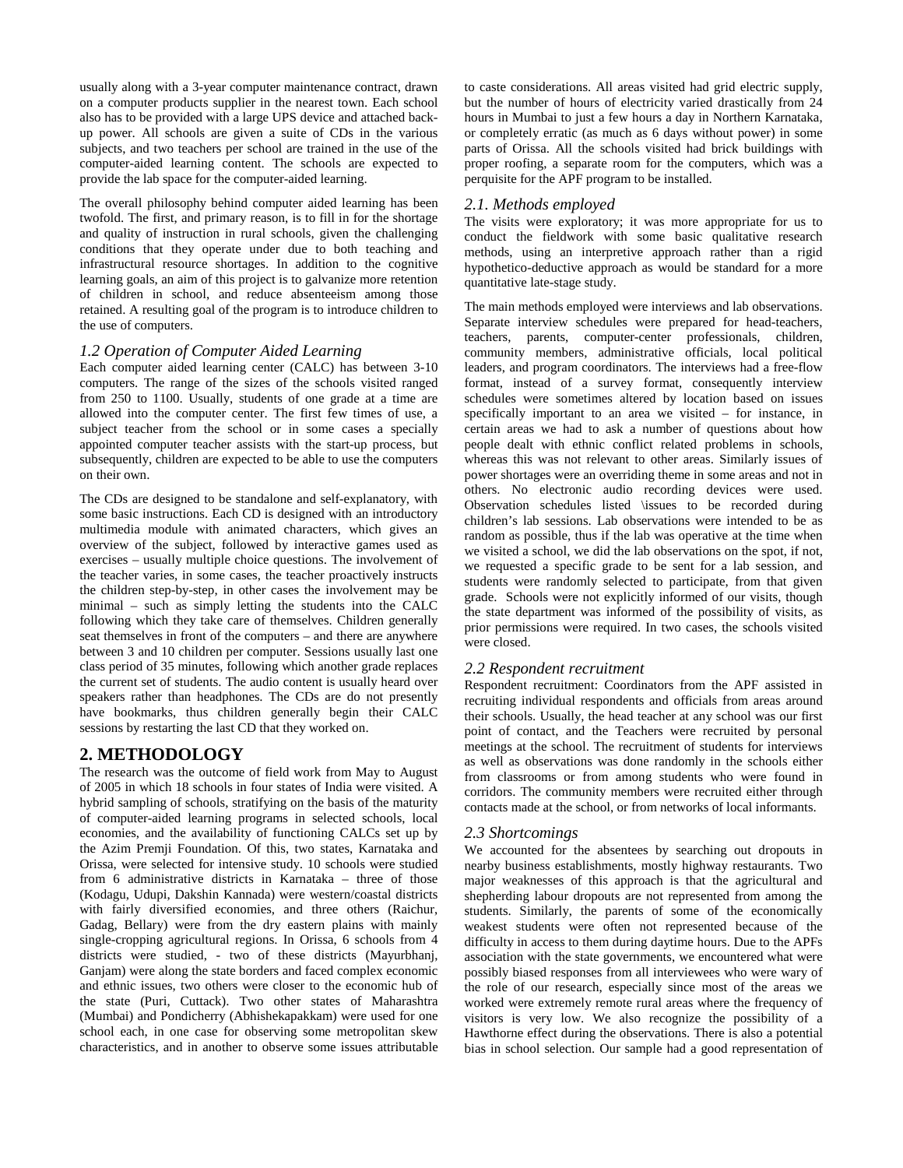usually along with a 3-year computer maintenance contract, drawn on a computer products supplier in the nearest town. Each school also has to be provided with a large UPS device and attached backup power. All schools are given a suite of CDs in the various subjects, and two teachers per school are trained in the use of the computer-aided learning content. The schools are expected to provide the lab space for the computer-aided learning.

The overall philosophy behind computer aided learning has been twofold. The first, and primary reason, is to fill in for the shortage and quality of instruction in rural schools, given the challenging conditions that they operate under due to both teaching and infrastructural resource shortages. In addition to the cognitive learning goals, an aim of this project is to galvanize more retention of children in school, and reduce absenteeism among those retained. A resulting goal of the program is to introduce children to the use of computers.

#### *1.2 Operation of Computer Aided Learning*

Each computer aided learning center (CALC) has between 3-10 computers. The range of the sizes of the schools visited ranged from 250 to 1100. Usually, students of one grade at a time are allowed into the computer center. The first few times of use, a subject teacher from the school or in some cases a specially appointed computer teacher assists with the start-up process, but subsequently, children are expected to be able to use the computers on their own.

The CDs are designed to be standalone and self-explanatory, with some basic instructions. Each CD is designed with an introductory multimedia module with animated characters, which gives an overview of the subject, followed by interactive games used as exercises – usually multiple choice questions. The involvement of the teacher varies, in some cases, the teacher proactively instructs the children step-by-step, in other cases the involvement may be minimal – such as simply letting the students into the CALC following which they take care of themselves. Children generally seat themselves in front of the computers – and there are anywhere between 3 and 10 children per computer. Sessions usually last one class period of 35 minutes, following which another grade replaces the current set of students. The audio content is usually heard over speakers rather than headphones. The CDs are do not presently have bookmarks, thus children generally begin their CALC sessions by restarting the last CD that they worked on.

# **2. METHODOLOGY**

The research was the outcome of field work from May to August of 2005 in which 18 schools in four states of India were visited. A hybrid sampling of schools, stratifying on the basis of the maturity of computer-aided learning programs in selected schools, local economies, and the availability of functioning CALCs set up by the Azim Premji Foundation. Of this, two states, Karnataka and Orissa, were selected for intensive study. 10 schools were studied from 6 administrative districts in Karnataka – three of those (Kodagu, Udupi, Dakshin Kannada) were western/coastal districts with fairly diversified economies, and three others (Raichur, Gadag, Bellary) were from the dry eastern plains with mainly single-cropping agricultural regions. In Orissa, 6 schools from 4 districts were studied, - two of these districts (Mayurbhanj, Ganjam) were along the state borders and faced complex economic and ethnic issues, two others were closer to the economic hub of the state (Puri, Cuttack). Two other states of Maharashtra (Mumbai) and Pondicherry (Abhishekapakkam) were used for one school each, in one case for observing some metropolitan skew characteristics, and in another to observe some issues attributable

to caste considerations. All areas visited had grid electric supply, but the number of hours of electricity varied drastically from 24 hours in Mumbai to just a few hours a day in Northern Karnataka, or completely erratic (as much as 6 days without power) in some parts of Orissa. All the schools visited had brick buildings with proper roofing, a separate room for the computers, which was a perquisite for the APF program to be installed.

### *2.1. Methods employed*

The visits were exploratory; it was more appropriate for us to conduct the fieldwork with some basic qualitative research methods, using an interpretive approach rather than a rigid hypothetico-deductive approach as would be standard for a more quantitative late-stage study.

The main methods employed were interviews and lab observations. Separate interview schedules were prepared for head-teachers, teachers, parents, computer-center professionals, children, community members, administrative officials, local political leaders, and program coordinators. The interviews had a free-flow format, instead of a survey format, consequently interview schedules were sometimes altered by location based on issues specifically important to an area we visited – for instance, in certain areas we had to ask a number of questions about how people dealt with ethnic conflict related problems in schools, whereas this was not relevant to other areas. Similarly issues of power shortages were an overriding theme in some areas and not in others. No electronic audio recording devices were used. Observation schedules listed \issues to be recorded during children's lab sessions. Lab observations were intended to be as random as possible, thus if the lab was operative at the time when we visited a school, we did the lab observations on the spot, if not, we requested a specific grade to be sent for a lab session, and students were randomly selected to participate, from that given grade. Schools were not explicitly informed of our visits, though the state department was informed of the possibility of visits, as prior permissions were required. In two cases, the schools visited were closed.

### *2.2 Respondent recruitment*

Respondent recruitment: Coordinators from the APF assisted in recruiting individual respondents and officials from areas around their schools. Usually, the head teacher at any school was our first point of contact, and the Teachers were recruited by personal meetings at the school. The recruitment of students for interviews as well as observations was done randomly in the schools either from classrooms or from among students who were found in corridors. The community members were recruited either through contacts made at the school, or from networks of local informants.

### *2.3 Shortcomings*

We accounted for the absentees by searching out dropouts in nearby business establishments, mostly highway restaurants. Two major weaknesses of this approach is that the agricultural and shepherding labour dropouts are not represented from among the students. Similarly, the parents of some of the economically weakest students were often not represented because of the difficulty in access to them during daytime hours. Due to the APFs association with the state governments, we encountered what were possibly biased responses from all interviewees who were wary of the role of our research, especially since most of the areas we worked were extremely remote rural areas where the frequency of visitors is very low. We also recognize the possibility of a Hawthorne effect during the observations. There is also a potential bias in school selection. Our sample had a good representation of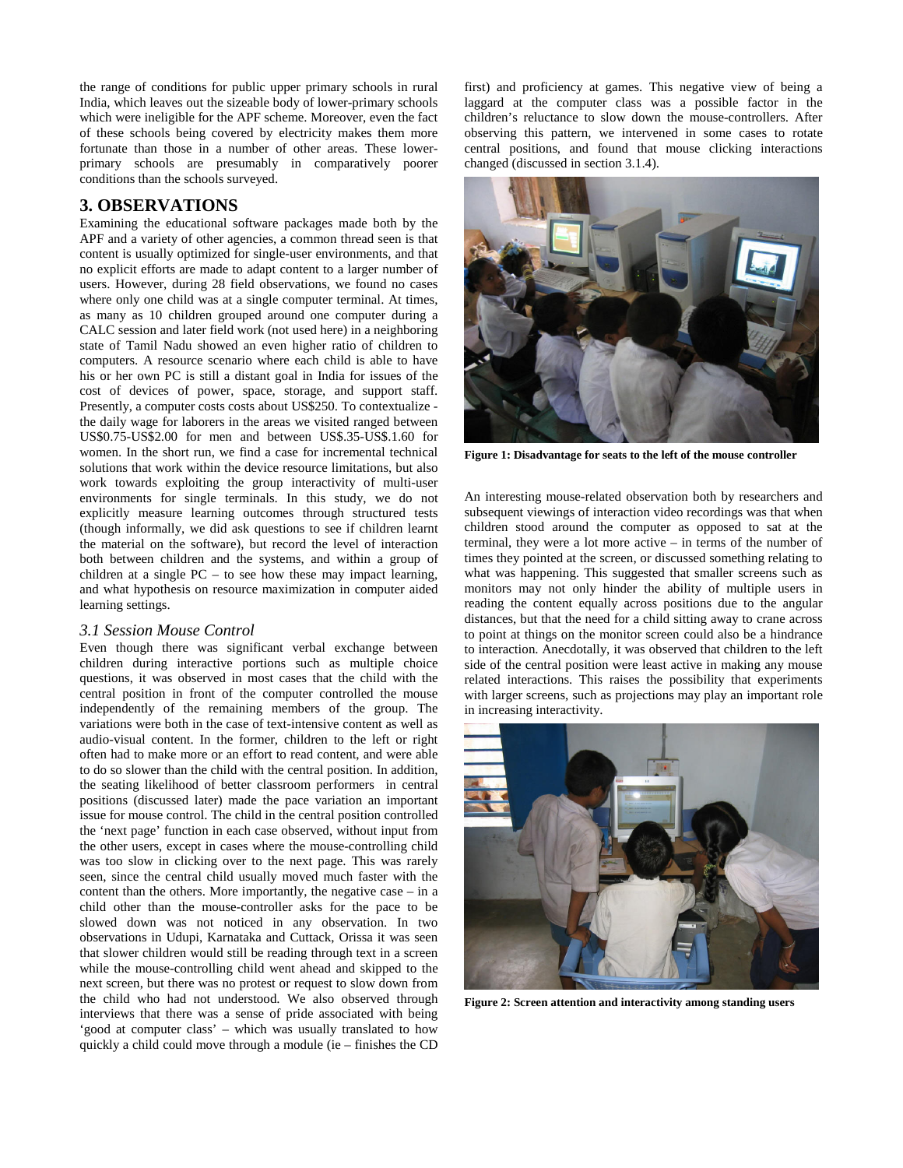the range of conditions for public upper primary schools in rural India, which leaves out the sizeable body of lower-primary schools which were ineligible for the APF scheme. Moreover, even the fact of these schools being covered by electricity makes them more fortunate than those in a number of other areas. These lowerprimary schools are presumably in comparatively poorer conditions than the schools surveyed.

## **3. OBSERVATIONS**

Examining the educational software packages made both by the APF and a variety of other agencies, a common thread seen is that content is usually optimized for single-user environments, and that no explicit efforts are made to adapt content to a larger number of users. However, during 28 field observations, we found no cases where only one child was at a single computer terminal. At times, as many as 10 children grouped around one computer during a CALC session and later field work (not used here) in a neighboring state of Tamil Nadu showed an even higher ratio of children to computers. A resource scenario where each child is able to have his or her own PC is still a distant goal in India for issues of the cost of devices of power, space, storage, and support staff. Presently, a computer costs costs about US\$250. To contextualize the daily wage for laborers in the areas we visited ranged between US\$0.75-US\$2.00 for men and between US\$.35-US\$.1.60 for women. In the short run, we find a case for incremental technical solutions that work within the device resource limitations, but also work towards exploiting the group interactivity of multi-user environments for single terminals. In this study, we do not explicitly measure learning outcomes through structured tests (though informally, we did ask questions to see if children learnt the material on the software), but record the level of interaction both between children and the systems, and within a group of children at a single PC – to see how these may impact learning, and what hypothesis on resource maximization in computer aided learning settings.

#### *3.1 Session Mouse Control*

Even though there was significant verbal exchange between children during interactive portions such as multiple choice questions, it was observed in most cases that the child with the central position in front of the computer controlled the mouse independently of the remaining members of the group. The variations were both in the case of text-intensive content as well as audio-visual content. In the former, children to the left or right often had to make more or an effort to read content, and were able to do so slower than the child with the central position. In addition, the seating likelihood of better classroom performers in central positions (discussed later) made the pace variation an important issue for mouse control. The child in the central position controlled the 'next page' function in each case observed, without input from the other users, except in cases where the mouse-controlling child was too slow in clicking over to the next page. This was rarely seen, since the central child usually moved much faster with the content than the others. More importantly, the negative case – in a child other than the mouse-controller asks for the pace to be slowed down was not noticed in any observation. In two observations in Udupi, Karnataka and Cuttack, Orissa it was seen that slower children would still be reading through text in a screen while the mouse-controlling child went ahead and skipped to the next screen, but there was no protest or request to slow down from the child who had not understood. We also observed through interviews that there was a sense of pride associated with being 'good at computer class' – which was usually translated to how quickly a child could move through a module (ie – finishes the CD

first) and proficiency at games. This negative view of being a laggard at the computer class was a possible factor in the children's reluctance to slow down the mouse-controllers. After observing this pattern, we intervened in some cases to rotate central positions, and found that mouse clicking interactions changed (discussed in section 3.1.4).



**Figure 1: Disadvantage for seats to the left of the mouse controller** 

An interesting mouse-related observation both by researchers and subsequent viewings of interaction video recordings was that when children stood around the computer as opposed to sat at the terminal, they were a lot more active – in terms of the number of times they pointed at the screen, or discussed something relating to what was happening. This suggested that smaller screens such as monitors may not only hinder the ability of multiple users in reading the content equally across positions due to the angular distances, but that the need for a child sitting away to crane across to point at things on the monitor screen could also be a hindrance to interaction. Anecdotally, it was observed that children to the left side of the central position were least active in making any mouse related interactions. This raises the possibility that experiments with larger screens, such as projections may play an important role in increasing interactivity.



**Figure 2: Screen attention and interactivity among standing users**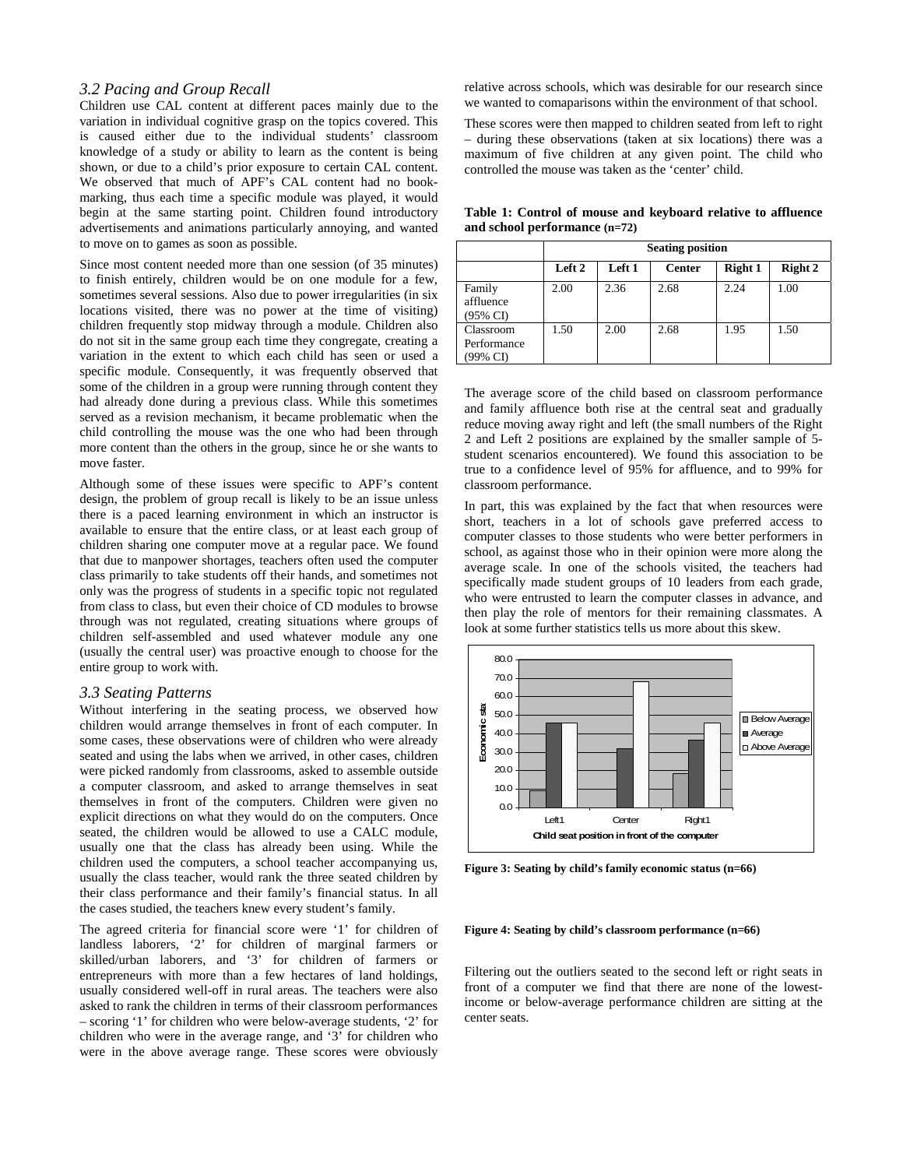### *3.2 Pacing and Group Recall*

Children use CAL content at different paces mainly due to the variation in individual cognitive grasp on the topics covered. This is caused either due to the individual students' classroom knowledge of a study or ability to learn as the content is being shown, or due to a child's prior exposure to certain CAL content. We observed that much of APF's CAL content had no bookmarking, thus each time a specific module was played, it would begin at the same starting point. Children found introductory advertisements and animations particularly annoying, and wanted to move on to games as soon as possible.

Since most content needed more than one session (of 35 minutes) to finish entirely, children would be on one module for a few, sometimes several sessions. Also due to power irregularities (in six locations visited, there was no power at the time of visiting) children frequently stop midway through a module. Children also do not sit in the same group each time they congregate, creating a variation in the extent to which each child has seen or used a specific module. Consequently, it was frequently observed that some of the children in a group were running through content they had already done during a previous class. While this sometimes served as a revision mechanism, it became problematic when the child controlling the mouse was the one who had been through more content than the others in the group, since he or she wants to move faster.

Although some of these issues were specific to APF's content design, the problem of group recall is likely to be an issue unless there is a paced learning environment in which an instructor is available to ensure that the entire class, or at least each group of children sharing one computer move at a regular pace. We found that due to manpower shortages, teachers often used the computer class primarily to take students off their hands, and sometimes not only was the progress of students in a specific topic not regulated from class to class, but even their choice of CD modules to browse through was not regulated, creating situations where groups of children self-assembled and used whatever module any one (usually the central user) was proactive enough to choose for the entire group to work with.

#### *3.3 Seating Patterns*

Without interfering in the seating process, we observed how children would arrange themselves in front of each computer. In some cases, these observations were of children who were already seated and using the labs when we arrived, in other cases, children were picked randomly from classrooms, asked to assemble outside a computer classroom, and asked to arrange themselves in seat themselves in front of the computers. Children were given no explicit directions on what they would do on the computers. Once seated, the children would be allowed to use a CALC module, usually one that the class has already been using. While the children used the computers, a school teacher accompanying us, usually the class teacher, would rank the three seated children by their class performance and their family's financial status. In all the cases studied, the teachers knew every student's family.

The agreed criteria for financial score were '1' for children of landless laborers, '2' for children of marginal farmers or skilled/urban laborers, and '3' for children of farmers or entrepreneurs with more than a few hectares of land holdings, usually considered well-off in rural areas. The teachers were also asked to rank the children in terms of their classroom performances – scoring '1' for children who were below-average students, '2' for children who were in the average range, and '3' for children who were in the above average range. These scores were obviously

relative across schools, which was desirable for our research since we wanted to comaparisons within the environment of that school.

These scores were then mapped to children seated from left to right – during these observations (taken at six locations) there was a maximum of five children at any given point. The child who controlled the mouse was taken as the 'center' child.

**Table 1: Control of mouse and keyboard relative to affluence and school performance (n=72)**

|                                      | <b>Seating position</b> |        |               |                |         |
|--------------------------------------|-------------------------|--------|---------------|----------------|---------|
|                                      | Left <sub>2</sub>       | Left 1 | <b>Center</b> | <b>Right 1</b> | Right 2 |
| Family<br>affluence<br>(95% CI)      | 2.00                    | 2.36   | 2.68          | 2.24           | 1.00    |
| Classroom<br>Performance<br>(99% CI) | 1.50                    | 2.00   | 2.68          | 1.95           | 1.50    |

The average score of the child based on classroom performance and family affluence both rise at the central seat and gradually reduce moving away right and left (the small numbers of the Right 2 and Left 2 positions are explained by the smaller sample of 5 student scenarios encountered). We found this association to be true to a confidence level of 95% for affluence, and to 99% for classroom performance.

In part, this was explained by the fact that when resources were short, teachers in a lot of schools gave preferred access to computer classes to those students who were better performers in school, as against those who in their opinion were more along the average scale. In one of the schools visited, the teachers had specifically made student groups of 10 leaders from each grade, who were entrusted to learn the computer classes in advance, and then play the role of mentors for their remaining classmates. A look at some further statistics tells us more about this skew.



**Figure 3: Seating by child's family economic status (n=66)** 

#### **Figure 4: Seating by child's classroom performance (n=66)**

Filtering out the outliers seated to the second left or right seats in front of a computer we find that there are none of the lowestincome or below-average performance children are sitting at the center seats.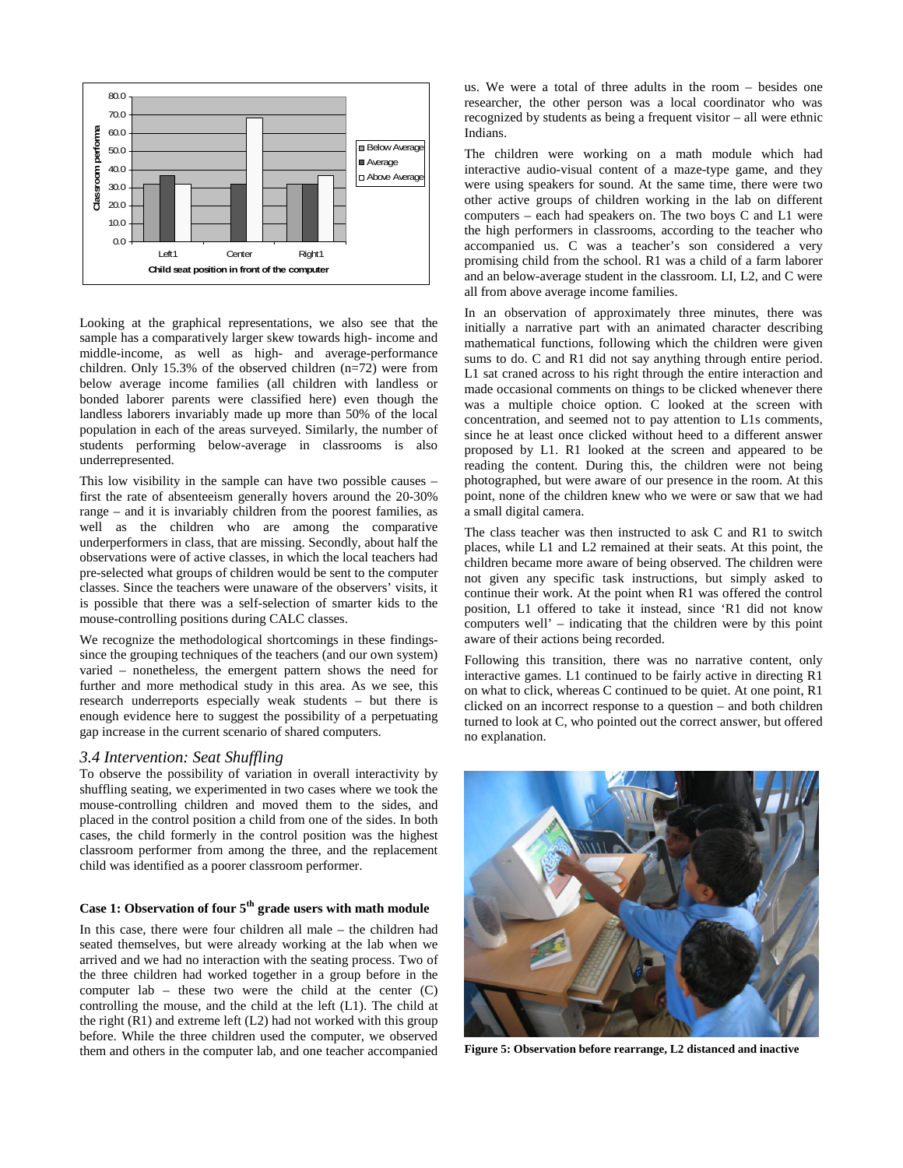

Looking at the graphical representations, we also see that the sample has a comparatively larger skew towards high- income and middle-income, as well as high- and average-performance children. Only 15.3% of the observed children (n=72) were from below average income families (all children with landless or bonded laborer parents were classified here) even though the landless laborers invariably made up more than 50% of the local population in each of the areas surveyed. Similarly, the number of students performing below-average in classrooms is also underrepresented.

This low visibility in the sample can have two possible causes – first the rate of absenteeism generally hovers around the 20-30% range – and it is invariably children from the poorest families, as well as the children who are among the comparative underperformers in class, that are missing. Secondly, about half the observations were of active classes, in which the local teachers had pre-selected what groups of children would be sent to the computer classes. Since the teachers were unaware of the observers' visits, it is possible that there was a self-selection of smarter kids to the mouse-controlling positions during CALC classes.

We recognize the methodological shortcomings in these findingssince the grouping techniques of the teachers (and our own system) varied – nonetheless, the emergent pattern shows the need for further and more methodical study in this area. As we see, this research underreports especially weak students – but there is enough evidence here to suggest the possibility of a perpetuating gap increase in the current scenario of shared computers.

#### *3.4 Intervention: Seat Shuffling*

To observe the possibility of variation in overall interactivity by shuffling seating, we experimented in two cases where we took the mouse-controlling children and moved them to the sides, and placed in the control position a child from one of the sides. In both cases, the child formerly in the control position was the highest classroom performer from among the three, and the replacement child was identified as a poorer classroom performer.

#### **Case 1: Observation of four 5th grade users with math module**

In this case, there were four children all male – the children had seated themselves, but were already working at the lab when we arrived and we had no interaction with the seating process. Two of the three children had worked together in a group before in the computer lab – these two were the child at the center (C) controlling the mouse, and the child at the left (L1). The child at the right  $(R1)$  and extreme left  $(L2)$  had not worked with this group before. While the three children used the computer, we observed them and others in the computer lab, and one teacher accompanied

us. We were a total of three adults in the room – besides one researcher, the other person was a local coordinator who was recognized by students as being a frequent visitor – all were ethnic Indians.

The children were working on a math module which had interactive audio-visual content of a maze-type game, and they were using speakers for sound. At the same time, there were two other active groups of children working in the lab on different computers – each had speakers on. The two boys C and L1 were the high performers in classrooms, according to the teacher who accompanied us. C was a teacher's son considered a very promising child from the school. R1 was a child of a farm laborer and an below-average student in the classroom. LI, L2, and C were all from above average income families.

In an observation of approximately three minutes, there was initially a narrative part with an animated character describing mathematical functions, following which the children were given sums to do. C and R1 did not say anything through entire period. L1 sat craned across to his right through the entire interaction and made occasional comments on things to be clicked whenever there was a multiple choice option. C looked at the screen with concentration, and seemed not to pay attention to L1s comments, since he at least once clicked without heed to a different answer proposed by L1. R1 looked at the screen and appeared to be reading the content. During this, the children were not being photographed, but were aware of our presence in the room. At this point, none of the children knew who we were or saw that we had a small digital camera.

The class teacher was then instructed to ask C and R1 to switch places, while L1 and L2 remained at their seats. At this point, the children became more aware of being observed. The children were not given any specific task instructions, but simply asked to continue their work. At the point when R1 was offered the control position, L1 offered to take it instead, since 'R1 did not know computers well' – indicating that the children were by this point aware of their actions being recorded.

Following this transition, there was no narrative content, only interactive games. L1 continued to be fairly active in directing R1 on what to click, whereas C continued to be quiet. At one point, R1 clicked on an incorrect response to a question – and both children turned to look at C, who pointed out the correct answer, but offered no explanation.



**Figure 5: Observation before rearrange, L2 distanced and inactive**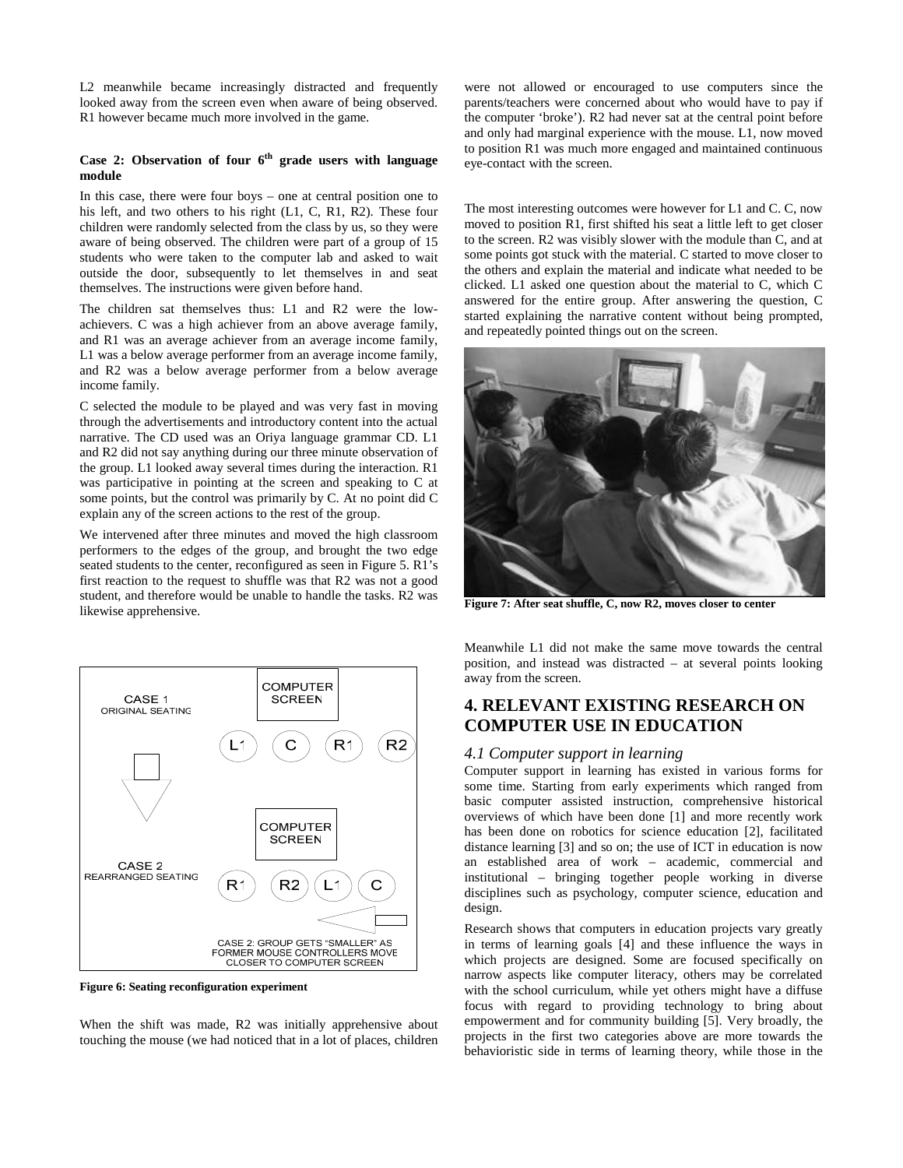L2 meanwhile became increasingly distracted and frequently looked away from the screen even when aware of being observed. R1 however became much more involved in the game.

#### **Case 2: Observation of four 6th grade users with language module**

In this case, there were four boys – one at central position one to his left, and two others to his right (L1, C, R1, R2). These four children were randomly selected from the class by us, so they were aware of being observed. The children were part of a group of 15 students who were taken to the computer lab and asked to wait outside the door, subsequently to let themselves in and seat themselves. The instructions were given before hand.

The children sat themselves thus: L1 and R2 were the lowachievers. C was a high achiever from an above average family, and R1 was an average achiever from an average income family, L1 was a below average performer from an average income family, and R2 was a below average performer from a below average income family.

C selected the module to be played and was very fast in moving through the advertisements and introductory content into the actual narrative. The CD used was an Oriya language grammar CD. L1 and R2 did not say anything during our three minute observation of the group. L1 looked away several times during the interaction. R1 was participative in pointing at the screen and speaking to C at some points, but the control was primarily by C. At no point did C explain any of the screen actions to the rest of the group.

We intervened after three minutes and moved the high classroom performers to the edges of the group, and brought the two edge seated students to the center, reconfigured as seen in Figure 5. R1's first reaction to the request to shuffle was that R2 was not a good student, and therefore would be unable to handle the tasks. R2 was likewise apprehensive.



**Figure 6: Seating reconfiguration experiment**

When the shift was made, R2 was initially apprehensive about touching the mouse (we had noticed that in a lot of places, children were not allowed or encouraged to use computers since the parents/teachers were concerned about who would have to pay if the computer 'broke'). R2 had never sat at the central point before and only had marginal experience with the mouse. L1, now moved to position R1 was much more engaged and maintained continuous eye-contact with the screen.

The most interesting outcomes were however for L1 and C. C, now moved to position R1, first shifted his seat a little left to get closer to the screen. R2 was visibly slower with the module than C, and at some points got stuck with the material. C started to move closer to the others and explain the material and indicate what needed to be clicked. L1 asked one question about the material to C, which C answered for the entire group. After answering the question, C started explaining the narrative content without being prompted, and repeatedly pointed things out on the screen.



**Figure 7: After seat shuffle, C, now R2, moves closer to center**

Meanwhile L1 did not make the same move towards the central position, and instead was distracted – at several points looking away from the screen.

# **4. RELEVANT EXISTING RESEARCH ON COMPUTER USE IN EDUCATION**

#### *4.1 Computer support in learning*

Computer support in learning has existed in various forms for some time. Starting from early experiments which ranged from basic computer assisted instruction, comprehensive historical overviews of which have been done [1] and more recently work has been done on robotics for science education [2], facilitated distance learning [3] and so on; the use of ICT in education is now an established area of work – academic, commercial and institutional – bringing together people working in diverse disciplines such as psychology, computer science, education and design.

Research shows that computers in education projects vary greatly in terms of learning goals [4] and these influence the ways in which projects are designed. Some are focused specifically on narrow aspects like computer literacy, others may be correlated with the school curriculum, while yet others might have a diffuse focus with regard to providing technology to bring about empowerment and for community building [5]. Very broadly, the projects in the first two categories above are more towards the behavioristic side in terms of learning theory, while those in the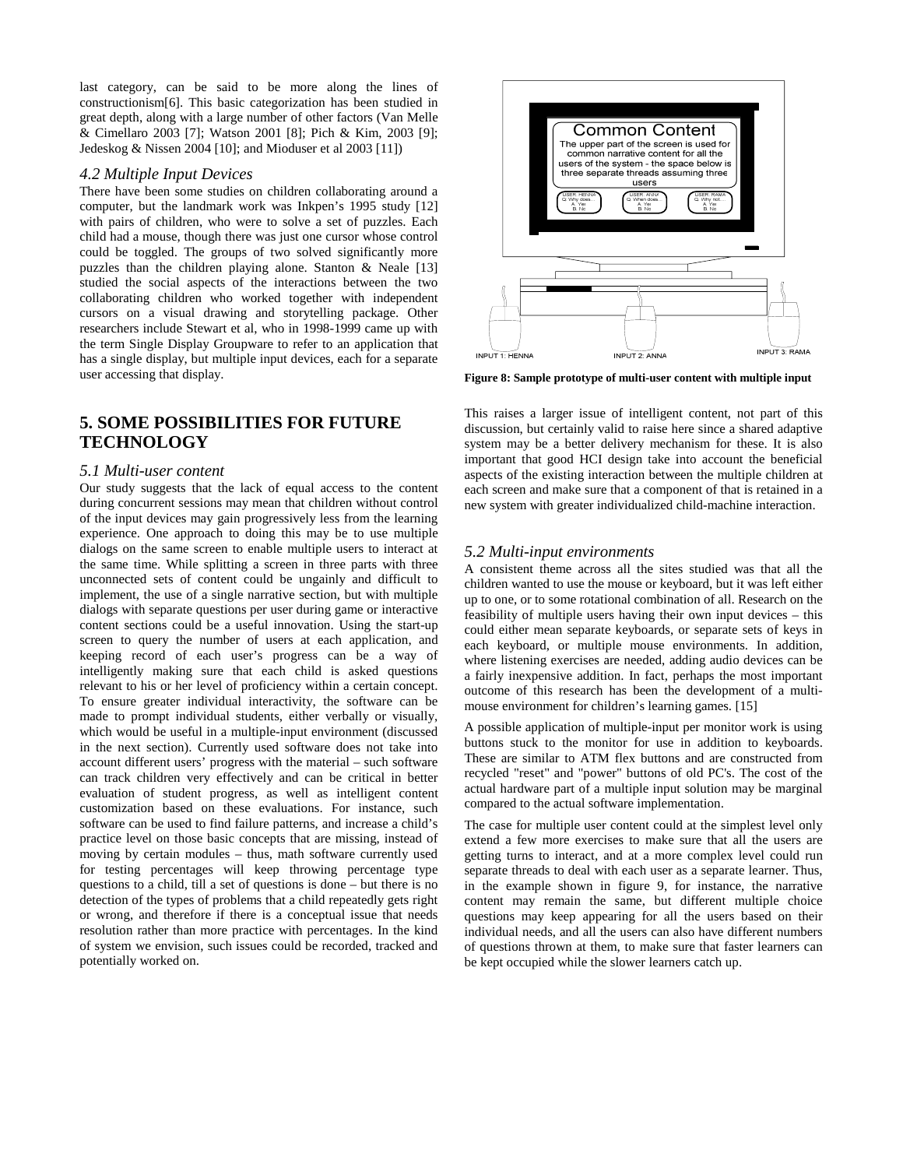last category, can be said to be more along the lines of constructionism[6]. This basic categorization has been studied in great depth, along with a large number of other factors (Van Melle & Cimellaro 2003 [7]; Watson 2001 [8]; Pich & Kim, 2003 [9]; Jedeskog & Nissen 2004 [10]; and Mioduser et al 2003 [11])

### *4.2 Multiple Input Devices*

There have been some studies on children collaborating around a computer, but the landmark work was Inkpen's 1995 study [12] with pairs of children, who were to solve a set of puzzles. Each child had a mouse, though there was just one cursor whose control could be toggled. The groups of two solved significantly more puzzles than the children playing alone. Stanton & Neale [13] studied the social aspects of the interactions between the two collaborating children who worked together with independent cursors on a visual drawing and storytelling package. Other researchers include Stewart et al, who in 1998-1999 came up with the term Single Display Groupware to refer to an application that has a single display, but multiple input devices, each for a separate user accessing that display.

# **5. SOME POSSIBILITIES FOR FUTURE TECHNOLOGY**

#### *5.1 Multi-user content*

Our study suggests that the lack of equal access to the content during concurrent sessions may mean that children without control of the input devices may gain progressively less from the learning experience. One approach to doing this may be to use multiple dialogs on the same screen to enable multiple users to interact at the same time. While splitting a screen in three parts with three unconnected sets of content could be ungainly and difficult to implement, the use of a single narrative section, but with multiple dialogs with separate questions per user during game or interactive content sections could be a useful innovation. Using the start-up screen to query the number of users at each application, and keeping record of each user's progress can be a way of intelligently making sure that each child is asked questions relevant to his or her level of proficiency within a certain concept. To ensure greater individual interactivity, the software can be made to prompt individual students, either verbally or visually, which would be useful in a multiple-input environment (discussed in the next section). Currently used software does not take into account different users' progress with the material – such software can track children very effectively and can be critical in better evaluation of student progress, as well as intelligent content customization based on these evaluations. For instance, such software can be used to find failure patterns, and increase a child's practice level on those basic concepts that are missing, instead of moving by certain modules – thus, math software currently used for testing percentages will keep throwing percentage type questions to a child, till a set of questions is done – but there is no detection of the types of problems that a child repeatedly gets right or wrong, and therefore if there is a conceptual issue that needs resolution rather than more practice with percentages. In the kind of system we envision, such issues could be recorded, tracked and potentially worked on.



**Figure 8: Sample prototype of multi-user content with multiple input** 

This raises a larger issue of intelligent content, not part of this discussion, but certainly valid to raise here since a shared adaptive system may be a better delivery mechanism for these. It is also important that good HCI design take into account the beneficial aspects of the existing interaction between the multiple children at each screen and make sure that a component of that is retained in a new system with greater individualized child-machine interaction.

#### *5.2 Multi-input environments*

A consistent theme across all the sites studied was that all the children wanted to use the mouse or keyboard, but it was left either up to one, or to some rotational combination of all. Research on the feasibility of multiple users having their own input devices – this could either mean separate keyboards, or separate sets of keys in each keyboard, or multiple mouse environments. In addition, where listening exercises are needed, adding audio devices can be a fairly inexpensive addition. In fact, perhaps the most important outcome of this research has been the development of a multimouse environment for children's learning games. [15]

A possible application of multiple-input per monitor work is using buttons stuck to the monitor for use in addition to keyboards. These are similar to ATM flex buttons and are constructed from recycled "reset" and "power" buttons of old PC's. The cost of the actual hardware part of a multiple input solution may be marginal compared to the actual software implementation.

The case for multiple user content could at the simplest level only extend a few more exercises to make sure that all the users are getting turns to interact, and at a more complex level could run separate threads to deal with each user as a separate learner. Thus, in the example shown in figure 9, for instance, the narrative content may remain the same, but different multiple choice questions may keep appearing for all the users based on their individual needs, and all the users can also have different numbers of questions thrown at them, to make sure that faster learners can be kept occupied while the slower learners catch up.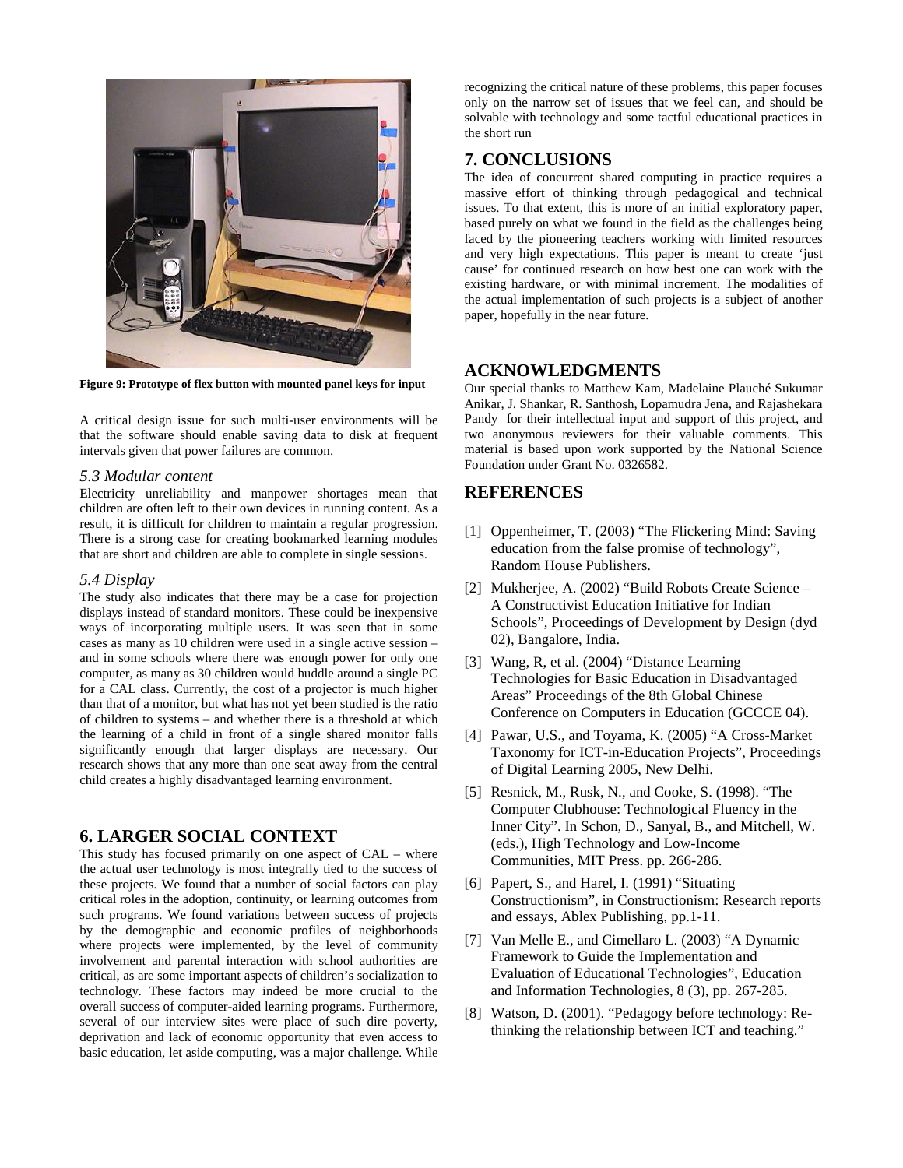

**Figure 9: Prototype of flex button with mounted panel keys for input**

A critical design issue for such multi-user environments will be that the software should enable saving data to disk at frequent intervals given that power failures are common.

#### *5.3 Modular content*

Electricity unreliability and manpower shortages mean that children are often left to their own devices in running content. As a result, it is difficult for children to maintain a regular progression. There is a strong case for creating bookmarked learning modules that are short and children are able to complete in single sessions.

#### *5.4 Display*

The study also indicates that there may be a case for projection displays instead of standard monitors. These could be inexpensive ways of incorporating multiple users. It was seen that in some cases as many as 10 children were used in a single active session – and in some schools where there was enough power for only one computer, as many as 30 children would huddle around a single PC for a CAL class. Currently, the cost of a projector is much higher than that of a monitor, but what has not yet been studied is the ratio of children to systems – and whether there is a threshold at which the learning of a child in front of a single shared monitor falls significantly enough that larger displays are necessary. Our research shows that any more than one seat away from the central child creates a highly disadvantaged learning environment.

# **6. LARGER SOCIAL CONTEXT**

This study has focused primarily on one aspect of CAL – where the actual user technology is most integrally tied to the success of these projects. We found that a number of social factors can play critical roles in the adoption, continuity, or learning outcomes from such programs. We found variations between success of projects by the demographic and economic profiles of neighborhoods where projects were implemented, by the level of community involvement and parental interaction with school authorities are critical, as are some important aspects of children's socialization to technology. These factors may indeed be more crucial to the overall success of computer-aided learning programs. Furthermore, several of our interview sites were place of such dire poverty, deprivation and lack of economic opportunity that even access to basic education, let aside computing, was a major challenge. While

recognizing the critical nature of these problems, this paper focuses only on the narrow set of issues that we feel can, and should be solvable with technology and some tactful educational practices in the short run

# **7. CONCLUSIONS**

The idea of concurrent shared computing in practice requires a massive effort of thinking through pedagogical and technical issues. To that extent, this is more of an initial exploratory paper, based purely on what we found in the field as the challenges being faced by the pioneering teachers working with limited resources and very high expectations. This paper is meant to create 'just cause' for continued research on how best one can work with the existing hardware, or with minimal increment. The modalities of the actual implementation of such projects is a subject of another paper, hopefully in the near future.

### **ACKNOWLEDGMENTS**

Our special thanks to Matthew Kam, Madelaine Plauché Sukumar Anikar, J. Shankar, R. Santhosh, Lopamudra Jena, and Rajashekara Pandy for their intellectual input and support of this project, and two anonymous reviewers for their valuable comments. This material is based upon work supported by the National Science Foundation under Grant No. 0326582.

# **REFERENCES**

- [1] Oppenheimer, T. (2003) "The Flickering Mind: Saving education from the false promise of technology", Random House Publishers.
- [2] Mukherjee, A. (2002) "Build Robots Create Science A Constructivist Education Initiative for Indian Schools", Proceedings of Development by Design (dyd 02), Bangalore, India.
- [3] Wang, R, et al. (2004) "Distance Learning Technologies for Basic Education in Disadvantaged Areas" Proceedings of the 8th Global Chinese Conference on Computers in Education (GCCCE 04).
- [4] Pawar, U.S., and Toyama, K. (2005) "A Cross-Market Taxonomy for ICT-in-Education Projects", Proceedings of Digital Learning 2005, New Delhi.
- [5] Resnick, M., Rusk, N., and Cooke, S. (1998). "The Computer Clubhouse: Technological Fluency in the Inner City". In Schon, D., Sanyal, B., and Mitchell, W. (eds.), High Technology and Low-Income Communities, MIT Press. pp. 266-286.
- [6] Papert, S., and Harel, I. (1991) "Situating Constructionism", in Constructionism: Research reports and essays, Ablex Publishing, pp.1-11.
- [7] Van Melle E., and Cimellaro L. (2003) "A Dynamic Framework to Guide the Implementation and Evaluation of Educational Technologies", Education and Information Technologies, 8 (3), pp. 267-285.
- [8] Watson, D. (2001). "Pedagogy before technology: Rethinking the relationship between ICT and teaching."